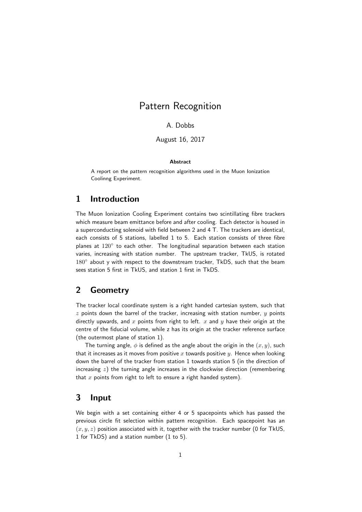# Pattern Recognition

### A. Dobbs

August 16, 2017

#### Abstract

A report on the pattern recognition algorithms used in the Muon Ionization Coolinng Experiment.

### 1 Introduction

The Muon Ionization Cooling Experiment contains two scintillating fibre trackers which measure beam emittance before and after cooling. Each detector is housed in a superconducting solenoid with field between 2 and 4 T. The trackers are identical, each consists of 5 stations, labelled 1 to 5. Each station consists of three fibre planes at  $120^{\circ}$  to each other. The longitudinal separation between each station varies, increasing with station number. The upstream tracker, TkUS, is rotated  $180^\circ$  about y with respect to the downstream tracker, TkDS, such that the beam sees station 5 first in TkUS, and station 1 first in TkDS.

## 2 Geometry

The tracker local coordinate system is a right handed cartesian system, such that  $z$  points down the barrel of the tracker, increasing with station number,  $y$  points directly upwards, and  $x$  points from right to left.  $x$  and  $y$  have their origin at the centre of the fiducial volume, while z has its origin at the tracker reference surface (the outermost plane of station 1).

The turning angle,  $\phi$  is defined as the angle about the origin in the  $(x, y)$ , such that it increases as it moves from positive x towards positive y. Hence when looking down the barrel of the tracker from station 1 towards station 5 (in the direction of increasing  $z$ ) the turning angle increases in the clockwise direction (remembering that  $x$  points from right to left to ensure a right handed system).

### 3 Input

We begin with a set containing either 4 or 5 spacepoints which has passed the previous circle fit selection within pattern recognition. Each spacepoint has an  $(x, y, z)$  position associated with it, together with the tracker number (0 for TkUS, 1 for TkDS) and a station number (1 to 5).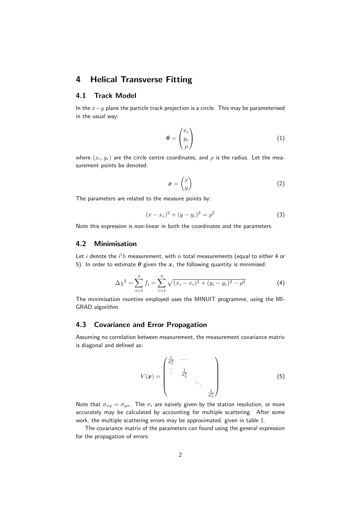## 4 Helical Transverse Fitting

### 4.1 Track Model

In the  $x-y$  plane the particle track projection is a circle. This may be parameterised in the usual way:

$$
\boldsymbol{\theta} = \begin{pmatrix} x_c \\ y_c \\ \rho \end{pmatrix} \tag{1}
$$

where  $(x_c, y_c)$  are the circle centre coordinates, and  $\rho$  is the radius. Let the measurement points be denoted:

$$
x = \begin{pmatrix} x \\ y \end{pmatrix} \tag{2}
$$

The parameters are related to the measure points by:

$$
(x - x_c)^2 + (y - y_c)^2 = \rho^2
$$
 (3)

Note this expression is non-linear in both the coordinates and the parameters.

#### 4.2 Minimisation

Let  $i$  denote the  $i^th$  measurement, with  $n$  total measurements (equal to either 4 or 5). In order to estimate  $\theta$  given the  $x_i$  the following quantity is minimised:

$$
\Delta \chi^2 = \sum_{i=1}^n f_i = \sum_{i=1}^n \sqrt{(x_i - x_c)^2 + (y_i - y_c)^2 - \rho^2}
$$
 (4)

The minimisation rountine employed uses the MINUIT programme, using the MI-GRAD algorithm.

### 4.3 Covariance and Error Propagation

Assuming no correlation between measurement, the measurement covariance matrix is diagonal and defined as:

$$
V(\boldsymbol{x}) = \begin{pmatrix} \frac{1}{\sigma_1^2} & \cdots & & \\ \vdots & \frac{1}{\sigma_2^2} & & \\ & & \ddots & \\ & & & \frac{1}{\sigma_n^2} \end{pmatrix} \tag{5}
$$

Note that  $\sigma_{xy} = \sigma_{yx}$ . The  $\sigma_i$  are naively given by the station resolution, or more accurately may be calculated by accounting for multiple scattering. After some work, the multiple scattering errors may be approximated, given in table 1.

The covariance matrix of the parameters can found using the general expression for the propagation of errors: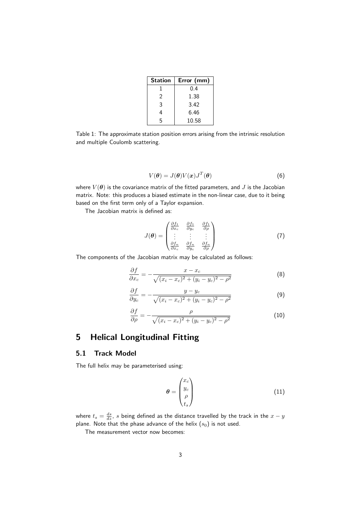| <b>Station</b> | Error (mm) |
|----------------|------------|
|                | 0.4        |
| $\mathfrak{D}$ | 1.38       |
| 3              | 3.42       |
| 4              | 6.46       |
| 5              | 10.58      |

Table 1: The approximate station position errors arising from the intrinsic resolution and multiple Coulomb scattering.

$$
V(\boldsymbol{\theta}) = J(\boldsymbol{\theta}) V(\boldsymbol{x}) J^T(\boldsymbol{\theta})
$$
\n(6)

where  $V(\theta)$  is the covariance matrix of the fitted parameters, and J is the Jacobian matrix. Note: this produces a biased estimate in the non-linear case, due to it being based on the first term only of a Taylor expansion.

The Jacobian matrix is defined as:

$$
J(\theta) = \begin{pmatrix} \frac{\partial f_1}{\partial x_c} & \frac{\partial f_1}{\partial y_c} & \frac{\partial f_1}{\partial \rho} \\ \vdots & \vdots & \vdots \\ \frac{\partial f_n}{\partial x_c} & \frac{\partial f_n}{\partial y_c} & \frac{\partial f_n}{\partial \rho} \end{pmatrix}
$$
(7)

The components of the Jacobian matrix may be calculated as follows:

$$
\frac{\partial f}{\partial x_c} = -\frac{x - x_c}{\sqrt{(x_i - x_c)^2 + (y_i - y_c)^2 - \rho^2}}\tag{8}
$$

$$
\frac{\partial f}{\partial y_c} = -\frac{y - y_c}{\sqrt{(x_i - x_c)^2 + (y_i - y_c)^2 - \rho^2}}\tag{9}
$$

$$
\frac{\partial f}{\partial \rho} = -\frac{\rho}{\sqrt{(x_i - x_c)^2 + (y_i - y_c)^2 - \rho^2}}\tag{10}
$$

## 5 Helical Longitudinal Fitting

#### 5.1 Track Model

The full helix may be parameterised using:

$$
\boldsymbol{\theta} = \begin{pmatrix} x_c \\ y_c \\ \rho \\ t_s \end{pmatrix} \tag{11}
$$

where  $t_s = \frac{ds}{dz}$ ,  $s$  being defined as the distance travelled by the track in the  $x-y$ plane. Note that the phase advance of the helix  $(s_0)$  is not used.

The measurement vector now becomes: